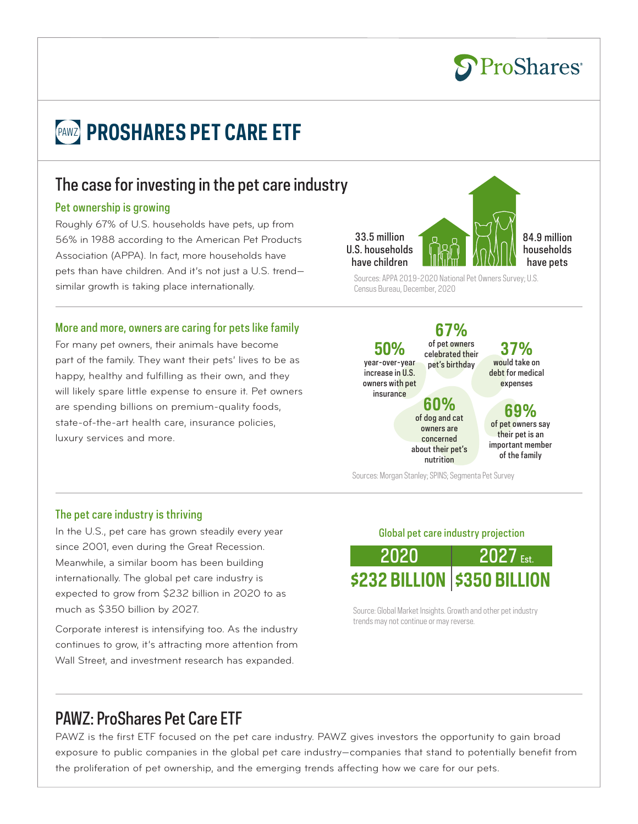# **PAWZ PROSHARES PET CARE ETF**

## The case for investing in the pet care industry

### Pet ownership is growing

Roughly 67% of U.S. households have pets, up from 56% in 1988 according to the American Pet Products Association (APPA). In fact, more households have pets than have children. And it's not just a U.S. trend similar growth is taking place internationally.

### More and more, owners are caring for pets like family

For many pet owners, their animals have become part of the family. They want their pets' lives to be as happy, healthy and fulfilling as their own, and they will likely spare little expense to ensure it. Pet owners are spending billions on premium-quality foods, state-of-the-art health care, insurance policies, luxury services and more.



84.9 million households have pets

Sources: APPA 2019-2020 National Pet Owners Survey; U.S. Census Bureau, December, 2020

**67%** of pet owners celebrated their pet's birthday **50%** year-over-year increase in U.S. owners with pet insurance

**37%** would take on debt for medical expenses

### **60%** of dog and cat

of pet owners say their pet is an important member of the family

**69%**

Sources: Morgan Stanley; SPINS; Segmenta Pet Survey

owners are concerned about their pet's nutrition

### The pet care industry is thriving

In the U.S., pet care has grown steadily every year since 2001, even during the Great Recession. Meanwhile, a similar boom has been building internationally. The global pet care industry is expected to grow from \$232 billion in 2020 to as much as \$350 billion by 2027.

Corporate interest is intensifying too. As the industry continues to grow, it's attracting more attention from Wall Street, and investment research has expanded.

Global pet care industry projection



Source: Global Market Insights. Growth and other pet industry trends may not continue or may reverse.

## PAWZ: ProShares Pet Care ETF

PAWZ is the first ETF focused on the pet care industry. PAWZ gives investors the opportunity to gain broad exposure to public companies in the global pet care industry—companies that stand to potentially benefit from the proliferation of pet ownership, and the emerging trends affecting how we care for our pets.

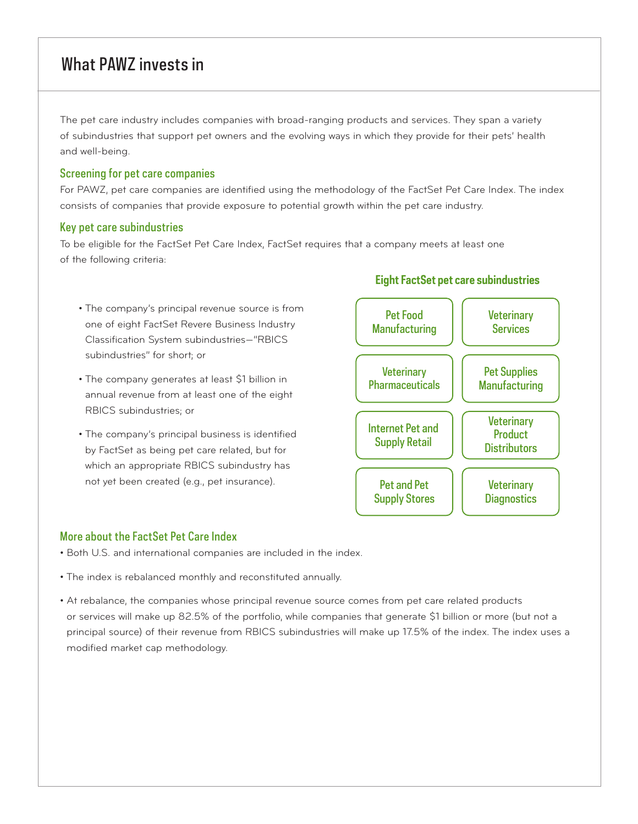## What PAWZ invests in

The pet care industry includes companies with broad-ranging products and services. They span a variety of subindustries that support pet owners and the evolving ways in which they provide for their pets' health and well-being.

### Screening for pet care companies

For PAWZ, pet care companies are identified using the methodology of the FactSet Pet Care Index. The index consists of companies that provide exposure to potential growth within the pet care industry.

### Key pet care subindustries

To be eligible for the FactSet Pet Care Index, FactSet requires that a company meets at least one of the following criteria:

- The company's principal revenue source is from one of eight FactSet Revere Business Industry Classification System subindustries—"RBICS subindustries" for short; or
- The company generates at least \$1 billion in annual revenue from at least one of the eight RBICS subindustries; or
- The company's principal business is identified by FactSet as being pet care related, but for which an appropriate RBICS subindustry has not yet been created (e.g., pet insurance).



### More about the FactSet Pet Care Index

- Both U.S. and international companies are included in the index.
- The index is rebalanced monthly and reconstituted annually.
- At rebalance, the companies whose principal revenue source comes from pet care related products or services will make up 82.5% of the portfolio, while companies that generate \$1 billion or more (but not a principal source) of their revenue from RBICS subindustries will make up 17.5% of the index. The index uses a modified market cap methodology.

### **Eight FactSet pet care subindustries**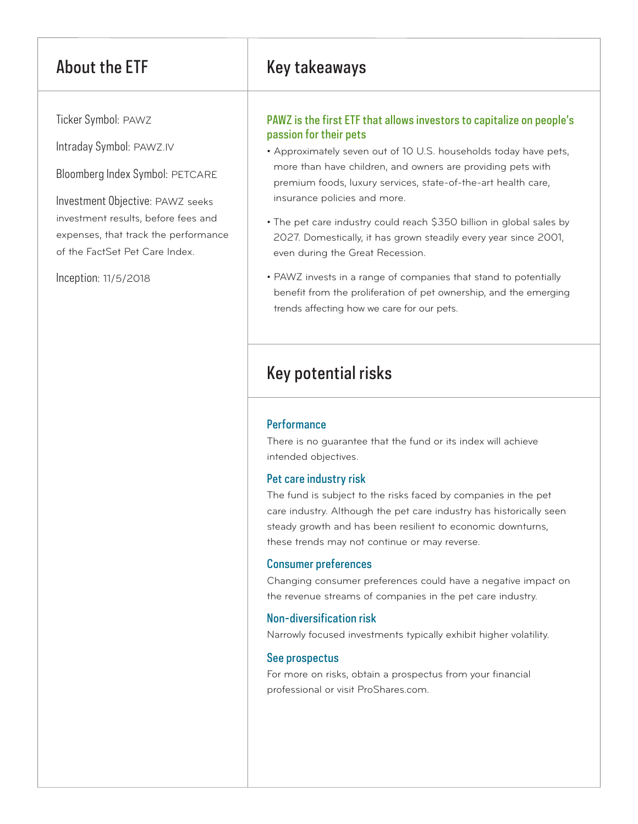Ticker Symbol: PAWZ

Intraday Symbol: PAWZ.IV

Bloomberg Index Symbol: PETCARE

Investment Objective: PAWZ seeks investment results, before fees and expenses, that track the performance of the FactSet Pet Care Index.

Inception: 11/5/2018

## About the ETF Key takeaways

### PAWZ is the first ETF that allows investors to capitalize on people's passion for their pets

- Approximately seven out of 10 U.S. households today have pets, more than have children, and owners are providing pets with premium foods, luxury services, state-of-the-art health care, insurance policies and more.
- The pet care industry could reach \$350 billion in global sales by 2027. Domestically, it has grown steadily every year since 2001, even during the Great Recession.
- PAWZ invests in a range of companies that stand to potentially benefit from the proliferation of pet ownership, and the emerging trends affecting how we care for our pets.

## Key potential risks

### **Performance**

There is no guarantee that the fund or its index will achieve intended objectives.

### Pet care industry risk

The fund is subject to the risks faced by companies in the pet care industry. Although the pet care industry has historically seen steady growth and has been resilient to economic downturns, these trends may not continue or may reverse.

### Consumer preferences

Changing consumer preferences could have a negative impact on the revenue streams of companies in the pet care industry.

### Non-diversification risk

Narrowly focused investments typically exhibit higher volatility.

### See prospectus

For more on risks, obtain a prospectus from your financial professional or visit ProShares.com.